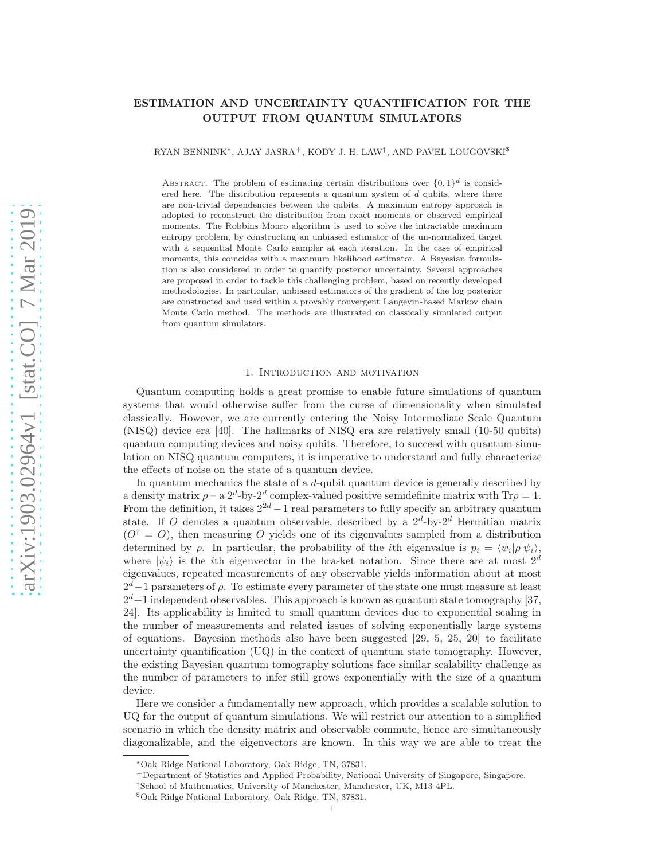# ESTIMATION AND UNCERTAINTY QUANTIFICATION FOR THE OUTPUT FROM QUANTUM SIMULATORS

RYAN BENNINK\*, AJAY JASRA<sup>+</sup>, KODY J. H. LAW<sup>†</sup>, AND PAVEL LOUGOVSKI<sup>\$</sup>

ABSTRACT. The problem of estimating certain distributions over  $\{0,1\}^d$  is considered here. The distribution represents a quantum system of  $d$  qubits, where there are non-trivial dependencies between the qubits. A maximum entropy approach is adopted to reconstruct the distribution from exact moments or observed empirical moments. The Robbins Monro algorithm is used to solve the intractable maximum entropy problem, by constructing an unbiased estimator of the un-normalized target with a sequential Monte Carlo sampler at each iteration. In the case of empirical moments, this coincides with a maximum likelihood estimator. A Bayesian formulation is also considered in order to quantify posterior uncertainty. Several approaches are proposed in order to tackle this challenging problem, based on recently developed methodologies. In particular, unbiased estimators of the gradient of the log posterior are constructed and used within a provably convergent Langevin-based Markov chain Monte Carlo method. The methods are illustrated on classically simulated output from quantum simulators.

#### 1. Introduction and motivation

Quantum computing holds a great promise to enable future simulations of quantum systems that would otherwise suffer from the curse of dimensionality when simulated classically. However, we are currently entering the Noisy Intermediate Scale Quantum (NISQ) device era [40]. The hallmarks of NISQ era are relatively small (10-50 qubits) quantum computing devices and noisy qubits. Therefore, to succeed with quantum simulation on NISQ quantum computers, it is imperative to understand and fully characterize the effects of noise on the state of a quantum device.

In quantum mechanics the state of a d-qubit quantum device is generally described by a density matrix  $\rho - a 2^d$ -by- $2^d$  complex-valued positive semidefinite matrix with  $Tr \rho = 1$ . From the definition, it takes  $2^{2d} - 1$  real parameters to fully specify an arbitrary quantum state. If O denotes a quantum observable, described by a  $2^d$ -by- $2^d$  Hermitian matrix  $(O^{\dagger} = O)$ , then measuring O yields one of its eigenvalues sampled from a distribution determined by  $\rho$ . In particular, the probability of the *i*th eigenvalue is  $p_i = \langle \psi_i | \rho | \psi_i \rangle$ , where  $|\psi_i\rangle$  is the *i*th eigenvector in the bra-ket notation. Since there are at most  $2^d$ eigenvalues, repeated measurements of any observable yields information about at most  $2<sup>d</sup>-1$  parameters of  $\rho$ . To estimate every parameter of the state one must measure at least  $2^d+1$  independent observables. This approach is known as quantum state tomography [37, 24]. Its applicability is limited to small quantum devices due to exponential scaling in the number of measurements and related issues of solving exponentially large systems of equations. Bayesian methods also have been suggested [29, 5, 25, 20] to facilitate uncertainty quantification  $(\mathrm{UQ})$  in the context of quantum state tomography. However, the existing Bayesian quantum tomography solutions face similar scalability challenge as the number of parameters to infer still grows exponentially with the size of a quantum device.

Here we consider a fundamentally new approach, which provides a scalable solution to UQ for the output of quantum simulations. We will restrict our attention to a simplified scenario in which the density matrix and observable commute, hence are simultaneously diagonalizable, and the eigenvectors are known. In this way we are able to treat the

<sup>∗</sup>Oak Ridge National Laboratory, Oak Ridge, TN, 37831.

<sup>+</sup>Department of Statistics and Applied Probability, National University of Singapore, Singapore.

<sup>†</sup>School of Mathematics, University of Manchester, Manchester, UK, M13 4PL.

<sup>\$</sup>Oak Ridge National Laboratory, Oak Ridge, TN, 37831.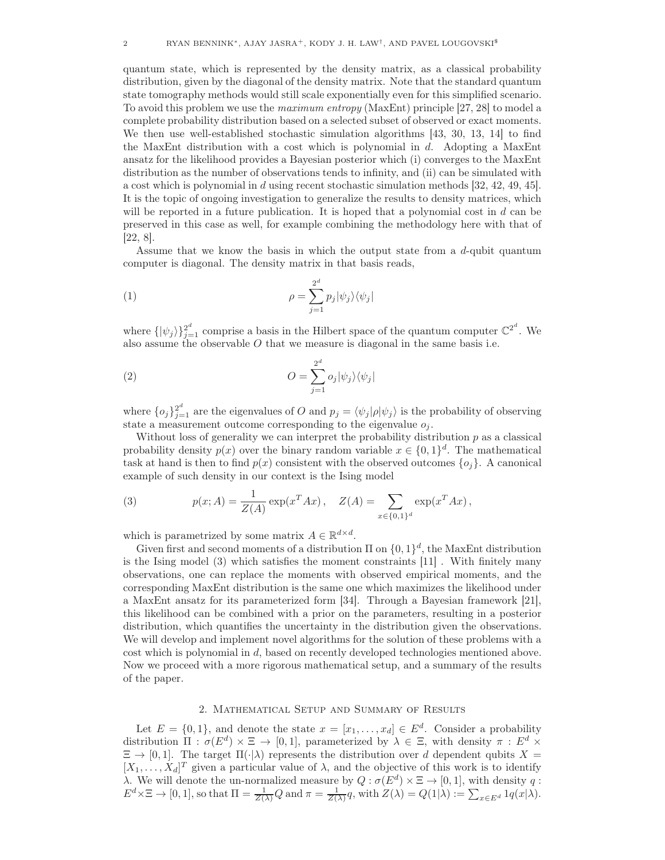quantum state, which is represented by the density matrix, as a classical probability distribution, given by the diagonal of the density matrix. Note that the standard quantum state tomography methods would still scale exponentially even for this simplified scenario. To avoid this problem we use the maximum entropy (MaxEnt) principle [27, 28] to model a complete probability distribution based on a selected subset of observed or exact moments. We then use well-established stochastic simulation algorithms [43, 30, 13, 14] to find the MaxEnt distribution with a cost which is polynomial in  $d$ . Adopting a MaxEnt ansatz for the likelihood provides a Bayesian posterior which (i) converges to the MaxEnt distribution as the number of observations tends to infinity, and (ii) can be simulated with a cost which is polynomial in d using recent stochastic simulation methods [32, 42, 49, 45]. It is the topic of ongoing investigation to generalize the results to density matrices, which will be reported in a future publication. It is hoped that a polynomial cost in  $d$  can be preserved in this case as well, for example combining the methodology here with that of [22, 8].

Assume that we know the basis in which the output state from a d-qubit quantum computer is diagonal. The density matrix in that basis reads,

(1) 
$$
\rho = \sum_{j=1}^{2^d} p_j |\psi_j\rangle \langle \psi_j|
$$

where  $\{|\psi_j\rangle\}_{j=1}^{2^d}$  comprise a basis in the Hilbert space of the quantum computer  $\mathbb{C}^{2^d}$ . We also assume the observable O that we measure is diagonal in the same basis i.e.

(2) 
$$
O = \sum_{j=1}^{2^d} o_j |\psi_j\rangle \langle \psi_j|
$$

where  $\{o_j\}_{j=1}^2$  are the eigenvalues of O and  $p_j = \langle \psi_j | \rho | \psi_j \rangle$  is the probability of observing state a measurement outcome corresponding to the eigenvalue  $o_i$ .

Without loss of generality we can interpret the probability distribution  $p$  as a classical probability density  $p(x)$  over the binary random variable  $x \in \{0,1\}^d$ . The mathematical task at hand is then to find  $p(x)$  consistent with the observed outcomes  $\{o_i\}$ . A canonical example of such density in our context is the Ising model

(3) 
$$
p(x; A) = \frac{1}{Z(A)} \exp(x^T A x), \quad Z(A) = \sum_{x \in \{0,1\}^d} \exp(x^T A x),
$$

which is parametrized by some matrix  $A \in \mathbb{R}^{d \times d}$ .

Given first and second moments of a distribution  $\Pi$  on  $\{0, 1\}^d$ , the MaxEnt distribution is the Ising model (3) which satisfies the moment constraints [11] . With finitely many observations, one can replace the moments with observed empirical moments, and the corresponding MaxEnt distribution is the same one which maximizes the likelihood under a MaxEnt ansatz for its parameterized form [34]. Through a Bayesian framework [21], this likelihood can be combined with a prior on the parameters, resulting in a posterior distribution, which quantifies the uncertainty in the distribution given the observations. We will develop and implement novel algorithms for the solution of these problems with a cost which is polynomial in d, based on recently developed technologies mentioned above. Now we proceed with a more rigorous mathematical setup, and a summary of the results of the paper.

## 2. Mathematical Setup and Summary of Results

Let  $E = \{0, 1\}$ , and denote the state  $x = [x_1, \ldots, x_d] \in E^d$ . Consider a probability distribution  $\Pi : \sigma(E^d) \times \Xi \to [0,1]$ , parameterized by  $\lambda \in \Xi$ , with density  $\pi : E^d \times$  $\Xi \to [0, 1]$ . The target  $\Pi(\cdot|\lambda)$  represents the distribution over d dependent qubits  $X =$  $[X_1, \ldots, X_d]^T$  given a particular value of  $\lambda$ , and the objective of this work is to identify λ. We will denote the un-normalized measure by  $Q : \sigma(E^d) \times \Xi \to [0,1]$ , with density q:  $E^d \times \Xi \to [0,1],$  so that  $\Pi = \frac{1}{Z(\lambda)}Q$  and  $\pi = \frac{1}{Z(\lambda)}q$ , with  $Z(\lambda) = Q(1|\lambda) := \sum_{x \in E^d} 1q(x|\lambda)$ .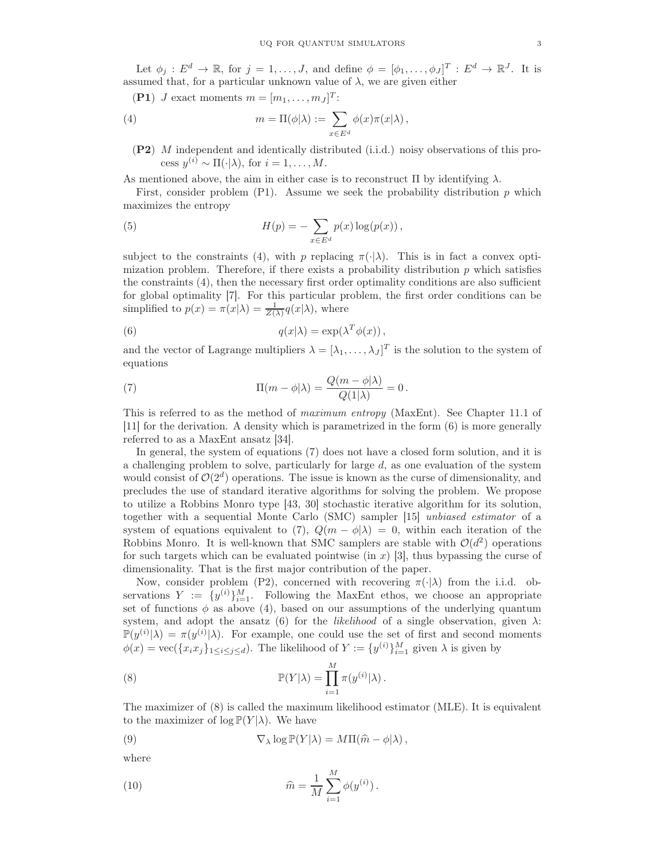Let  $\phi_j : E^d \to \mathbb{R}$ , for  $j = 1, \ldots, J$ , and define  $\phi = [\phi_1, \ldots, \phi_J]^T : E^d \to \mathbb{R}^J$ . It is assumed that, for a particular unknown value of  $\lambda$ , we are given either

(P1) *J* exact moments  $m = [m_1, \ldots, m_J]^T$ :

(4) 
$$
m = \Pi(\phi|\lambda) := \sum_{x \in E^d} \phi(x)\pi(x|\lambda),
$$

(P2) M independent and identically distributed (i.i.d.) noisy observations of this process  $y^{(i)} \sim \Pi(\cdot | \lambda)$ , for  $i = 1, ..., M$ .

As mentioned above, the aim in either case is to reconstruct  $\Pi$  by identifying  $\lambda$ .

First, consider problem  $(P1)$ . Assume we seek the probability distribution p which maximizes the entropy

(5) 
$$
H(p) = -\sum_{x \in E^d} p(x) \log(p(x)),
$$

subject to the constraints (4), with p replacing  $\pi(\cdot|\lambda)$ . This is in fact a convex optimization problem. Therefore, if there exists a probability distribution  $p$  which satisfies the constraints (4), then the necessary first order optimality conditions are also sufficient for global optimality [7]. For this particular problem, the first order conditions can be simplified to  $p(x) = \pi(x|\lambda) = \frac{1}{Z(\lambda)}q(x|\lambda)$ , where

(6) 
$$
q(x|\lambda) = \exp(\lambda^T \phi(x)),
$$

and the vector of Lagrange multipliers  $\lambda = [\lambda_1, \ldots, \lambda_J]^T$  is the solution to the system of equations

(7) 
$$
\Pi(m - \phi|\lambda) = \frac{Q(m - \phi|\lambda)}{Q(1|\lambda)} = 0.
$$

This is referred to as the method of maximum entropy (MaxEnt). See Chapter 11.1 of [11] for the derivation. A density which is parametrized in the form (6) is more generally referred to as a MaxEnt ansatz [34].

In general, the system of equations (7) does not have a closed form solution, and it is a challenging problem to solve, particularly for large  $d$ , as one evaluation of the system would consist of  $\mathcal{O}(2^d)$  operations. The issue is known as the curse of dimensionality, and precludes the use of standard iterative algorithms for solving the problem. We propose to utilize a Robbins Monro type [43, 30] stochastic iterative algorithm for its solution, together with a sequential Monte Carlo (SMC) sampler [15] unbiased estimator of a system of equations equivalent to (7),  $Q(m - \phi|\lambda) = 0$ , within each iteration of the Robbins Monro. It is well-known that SMC samplers are stable with  $\mathcal{O}(d^2)$  operations for such targets which can be evaluated pointwise (in  $x$ ) [3], thus bypassing the curse of dimensionality. That is the first major contribution of the paper.

Now, consider problem (P2), concerned with recovering  $\pi(\cdot|\lambda)$  from the i.i.d. observations  $Y := \{y^{(i)}\}_{i=1}^M$ . Following the MaxEnt ethos, we choose an appropriate set of functions  $\phi$  as above (4), based on our assumptions of the underlying quantum system, and adopt the ansatz (6) for the *likelihood* of a single observation, given  $\lambda$ :  $\mathbb{P}(y^{(i)}|\lambda) = \pi(y^{(i)}|\lambda)$ . For example, one could use the set of first and second moments  $\phi(x) = \text{vec}(\{x_i x_j\}_{1 \leq i \leq j \leq d})$ . The likelihood of  $Y := \{y^{(i)}\}_{i=1}^M$  given  $\lambda$  is given by

(8) 
$$
\mathbb{P}(Y|\lambda) = \prod_{i=1}^{M} \pi(y^{(i)}|\lambda).
$$

The maximizer of (8) is called the maximum likelihood estimator (MLE). It is equivalent to the maximizer of  $\log \mathbb{P}(Y|\lambda)$ . We have

(9) 
$$
\nabla_{\lambda} \log \mathbb{P}(Y|\lambda) = M \Pi(\widehat{m} - \phi|\lambda),
$$

where

(10) 
$$
\widehat{m} = \frac{1}{M} \sum_{i=1}^{M} \phi(y^{(i)}).
$$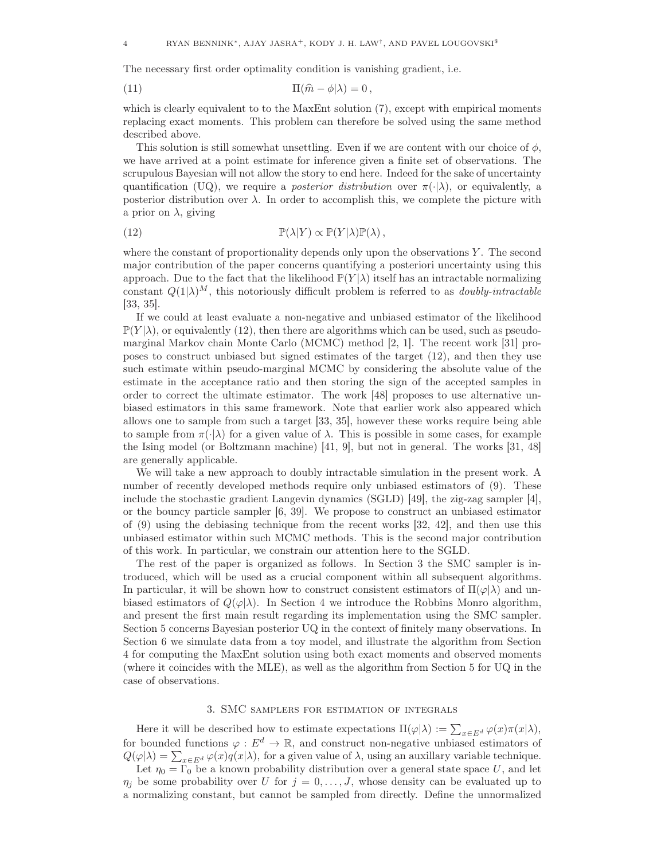The necessary first order optimality condition is vanishing gradient, i.e.

(11) 
$$
\Pi(\widehat{m} - \phi | \lambda) = 0,
$$

which is clearly equivalent to to the MaxEnt solution (7), except with empirical moments replacing exact moments. This problem can therefore be solved using the same method described above.

This solution is still somewhat unsettling. Even if we are content with our choice of  $\phi$ , we have arrived at a point estimate for inference given a finite set of observations. The scrupulous Bayesian will not allow the story to end here. Indeed for the sake of uncertainty quantification (UQ), we require a *posterior distribution* over  $\pi(\cdot|\lambda)$ , or equivalently, a posterior distribution over  $\lambda$ . In order to accomplish this, we complete the picture with a prior on  $\lambda$ , giving

(12) 
$$
\mathbb{P}(\lambda|Y) \propto \mathbb{P}(Y|\lambda)\mathbb{P}(\lambda),
$$

where the constant of proportionality depends only upon the observations  $Y$ . The second major contribution of the paper concerns quantifying a posteriori uncertainty using this approach. Due to the fact that the likelihood  $\mathbb{P}(Y|\lambda)$  itself has an intractable normalizing constant  $Q(1|\lambda)^M$ , this notoriously difficult problem is referred to as *doubly-intractable* [33, 35].

If we could at least evaluate a non-negative and unbiased estimator of the likelihood  $\mathbb{P}(Y|\lambda)$ , or equivalently (12), then there are algorithms which can be used, such as pseudomarginal Markov chain Monte Carlo (MCMC) method [2, 1]. The recent work [31] proposes to construct unbiased but signed estimates of the target (12), and then they use such estimate within pseudo-marginal MCMC by considering the absolute value of the estimate in the acceptance ratio and then storing the sign of the accepted samples in order to correct the ultimate estimator. The work [48] proposes to use alternative unbiased estimators in this same framework. Note that earlier work also appeared which allows one to sample from such a target [33, 35], however these works require being able to sample from  $\pi(\cdot|\lambda)$  for a given value of  $\lambda$ . This is possible in some cases, for example the Ising model (or Boltzmann machine) [41, 9], but not in general. The works [31, 48] are generally applicable.

We will take a new approach to doubly intractable simulation in the present work. A number of recently developed methods require only unbiased estimators of (9). These include the stochastic gradient Langevin dynamics (SGLD) [49], the zig-zag sampler [4], or the bouncy particle sampler [6, 39]. We propose to construct an unbiased estimator of (9) using the debiasing technique from the recent works [32, 42], and then use this unbiased estimator within such MCMC methods. This is the second major contribution of this work. In particular, we constrain our attention here to the SGLD.

The rest of the paper is organized as follows. In Section 3 the SMC sampler is introduced, which will be used as a crucial component within all subsequent algorithms. In particular, it will be shown how to construct consistent estimators of  $\Pi(\varphi|\lambda)$  and unbiased estimators of  $Q(\varphi|\lambda)$ . In Section 4 we introduce the Robbins Monro algorithm, and present the first main result regarding its implementation using the SMC sampler. Section 5 concerns Bayesian posterior UQ in the context of finitely many observations. In Section 6 we simulate data from a toy model, and illustrate the algorithm from Section 4 for computing the MaxEnt solution using both exact moments and observed moments (where it coincides with the MLE), as well as the algorithm from Section 5 for UQ in the case of observations.

### 3. SMC samplers for estimation of integrals

Here it will be described how to estimate expectations  $\Pi(\varphi|\lambda) := \sum_{x \in E^d} \varphi(x) \pi(x|\lambda),$ for bounded functions  $\varphi : E^d \to \mathbb{R}$ , and construct non-negative unbiased estimators of  $Q(\varphi|\lambda) = \sum_{x \in E^d} \varphi(x) q(x|\lambda)$ , for a given value of  $\lambda$ , using an auxillary variable technique.

Let  $\eta_0 = \Gamma_0$  be a known probability distribution over a general state space U, and let  $\eta_j$  be some probability over U for  $j = 0, \ldots, J$ , whose density can be evaluated up to a normalizing constant, but cannot be sampled from directly. Define the unnormalized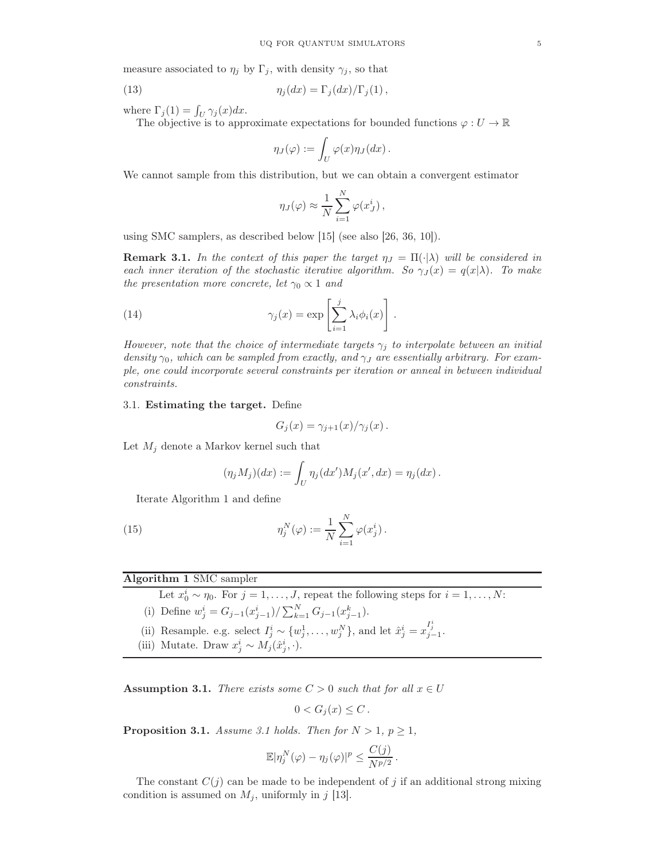measure associated to  $\eta_j$  by  $\Gamma_j$ , with density  $\gamma_j$ , so that

(13) 
$$
\eta_j(dx) = \Gamma_j(dx)/\Gamma_j(1),
$$

where  $\Gamma_j(1) = \int_U \gamma_j(x) dx$ .

The objective is to approximate expectations for bounded functions  $\varphi: U \to \mathbb{R}$ 

$$
\eta_J(\varphi) := \int_U \varphi(x) \eta_J(dx) \, .
$$

We cannot sample from this distribution, but we can obtain a convergent estimator

$$
\eta_J(\varphi) \approx \frac{1}{N} \sum_{i=1}^N \varphi(x_J^i) \,,
$$

using SMC samplers, as described below [15] (see also [26, 36, 10]).

**Remark 3.1.** In the context of this paper the target  $\eta_J = \Pi(\cdot|\lambda)$  will be considered in each inner iteration of the stochastic iterative algorithm. So  $\gamma_J(x) = q(x|\lambda)$ . To make the presentation more concrete, let  $\gamma_0 \propto 1$  and

(14) 
$$
\gamma_j(x) = \exp\left[\sum_{i=1}^j \lambda_i \phi_i(x)\right].
$$

However, note that the choice of intermediate targets  $\gamma_j$  to interpolate between an initial density  $\gamma_0$ , which can be sampled from exactly, and  $\gamma_J$  are essentially arbitrary. For example, one could incorporate several constraints per iteration or anneal in between individual constraints.

### 3.1. Estimating the target. Define

$$
G_j(x) = \gamma_{j+1}(x) / \gamma_j(x) .
$$

Let  $M_j$  denote a Markov kernel such that

$$
(\eta_j M_j)(dx) := \int_U \eta_j(dx')M_j(x', dx) = \eta_j(dx).
$$

Iterate Algorithm 1 and define

(15) 
$$
\eta_j^N(\varphi) := \frac{1}{N} \sum_{i=1}^N \varphi(x_j^i).
$$

# Algorithm 1 SMC sampler

Let  $x_0^i \sim \eta_0$ . For  $j = 1, ..., J$ , repeat the following steps for  $i = 1, ..., N$ :

(i) Define 
$$
w_j^i = G_{j-1}(x_{j-1}^i)/\sum_{k=1}^N G_{j-1}(x_{j-1}^k)
$$
.

- (ii) Resample. e.g. select  $I_j^i \sim \{w_j^1, \ldots, w_j^N\}$ , and let  $\hat{x}_j^i = x_{j-1}^{I_j^i}$ .
- (iii) Mutate. Draw  $x_j^i \sim M_j(\hat{x}_j^i, \cdot)$ .

Assumption 3.1. There exists some  $C > 0$  such that for all  $x \in U$ 

$$
0 < G_j(x) \leq C \, .
$$

**Proposition 3.1.** Assume 3.1 holds. Then for  $N > 1$ ,  $p \ge 1$ ,

$$
\mathbb{E}|\eta_j^N(\varphi)-\eta_j(\varphi)|^p\leq \frac{C(j)}{N^{p/2}}.
$$

The constant  $C(j)$  can be made to be independent of j if an additional strong mixing condition is assumed on  $M_i$ , uniformly in j [13].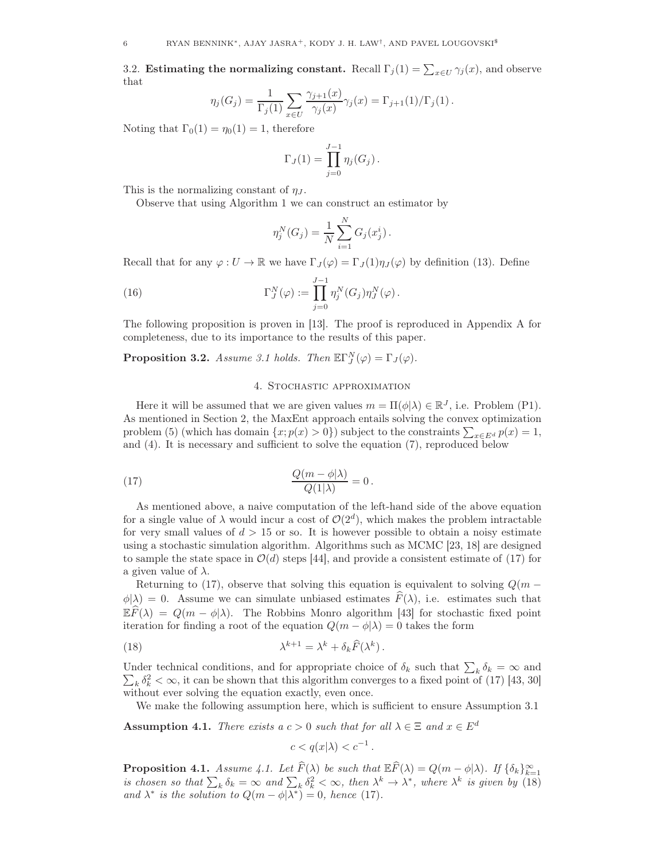3.2. Estimating the normalizing constant. Recall  $\Gamma_j(1) = \sum_{x \in U} \gamma_j(x)$ , and observe that

$$
\eta_j(G_j) = \frac{1}{\Gamma_j(1)} \sum_{x \in U} \frac{\gamma_{j+1}(x)}{\gamma_j(x)} \gamma_j(x) = \Gamma_{j+1}(1) / \Gamma_j(1).
$$

Noting that  $\Gamma_0(1) = \eta_0(1) = 1$ , therefore

$$
\Gamma_J(1) = \prod_{j=0}^{J-1} \eta_j(G_j).
$$

This is the normalizing constant of  $\eta_J$ .

Observe that using Algorithm 1 we can construct an estimator by

$$
\eta_j^N(G_j) = \frac{1}{N} \sum_{i=1}^N G_j(x_j^i).
$$

Recall that for any  $\varphi: U \to \mathbb{R}$  we have  $\Gamma_J(\varphi) = \Gamma_J(1)\eta_J(\varphi)$  by definition (13). Define

(16) 
$$
\Gamma_J^N(\varphi) := \prod_{j=0}^{J-1} \eta_j^N(G_j) \eta_J^N(\varphi).
$$

The following proposition is proven in [13]. The proof is reproduced in Appendix A for completeness, due to its importance to the results of this paper.

**Proposition 3.2.** Assume 3.1 holds. Then  $\mathbb{E}\Gamma_J^N(\varphi) = \Gamma_J(\varphi)$ .

### 4. Stochastic approximation

Here it will be assumed that we are given values  $m = \Pi(\phi | \lambda) \in \mathbb{R}^J$ , i.e. Problem (P1). As mentioned in Section 2, the MaxEnt approach entails solving the convex optimization problem (5) (which has domain  $\{x; p(x) > 0\}$ ) subject to the constraints  $\sum_{x \in E^d} p(x) = 1$ , and (4). It is necessary and sufficient to solve the equation (7), reproduced below

(17) 
$$
\frac{Q(m-\phi|\lambda)}{Q(1|\lambda)}=0.
$$

As mentioned above, a naive computation of the left-hand side of the above equation for a single value of  $\lambda$  would incur a cost of  $\mathcal{O}(2^d)$ , which makes the problem intractable for very small values of  $d > 15$  or so. It is however possible to obtain a noisy estimate using a stochastic simulation algorithm. Algorithms such as MCMC [23, 18] are designed to sample the state space in  $\mathcal{O}(d)$  steps [44], and provide a consistent estimate of (17) for a given value of  $\lambda$ .

Returning to (17), observe that solving this equation is equivalent to solving  $Q(m - )$  $\phi(\lambda) = 0$ . Assume we can simulate unbiased estimates  $\widehat{F}(\lambda)$ , i.e. estimates such that  $\mathbb{E} \widehat{F}(\lambda) = Q(m - \phi | \lambda)$ . The Robbins Monro algorithm [43] for stochastic fixed point iteration for finding a root of the equation  $Q(m - \phi | \lambda) = 0$  takes the form

(18) 
$$
\lambda^{k+1} = \lambda^k + \delta_k \widehat{F}(\lambda^k).
$$

Under technical conditions, and for appropriate choice of  $\delta_k$  such that  $\sum_k \delta_k = \infty$  and  $\sum_{k} \delta_k^2 < \infty$ , it can be shown that this algorithm converges to a fixed point of (17) [43, 30] without ever solving the equation exactly, even once.

We make the following assumption here, which is sufficient to ensure Assumption 3.1

**Assumption 4.1.** There exists a  $c > 0$  such that for all  $\lambda \in \Xi$  and  $x \in E^d$ 

$$
c < q(x|\lambda) < c^{-1}.
$$

**Proposition 4.1.** Assume 4.1. Let  $\widehat{F}(\lambda)$  be such that  $\mathbb{E}\widehat{F}(\lambda) = Q(m - \phi|\lambda)$ . If  $\{\delta_k\}_{k=1}^{\infty}$ is chosen so that  $\sum_k \delta_k = \infty$  and  $\sum_k \delta_k^2 < \infty$ , then  $\lambda^k \to \lambda^*$ , where  $\lambda^k$  is given by (18) and  $\lambda^*$  is the solution to  $Q(m - \phi | \lambda^*) = 0$ , hence (17).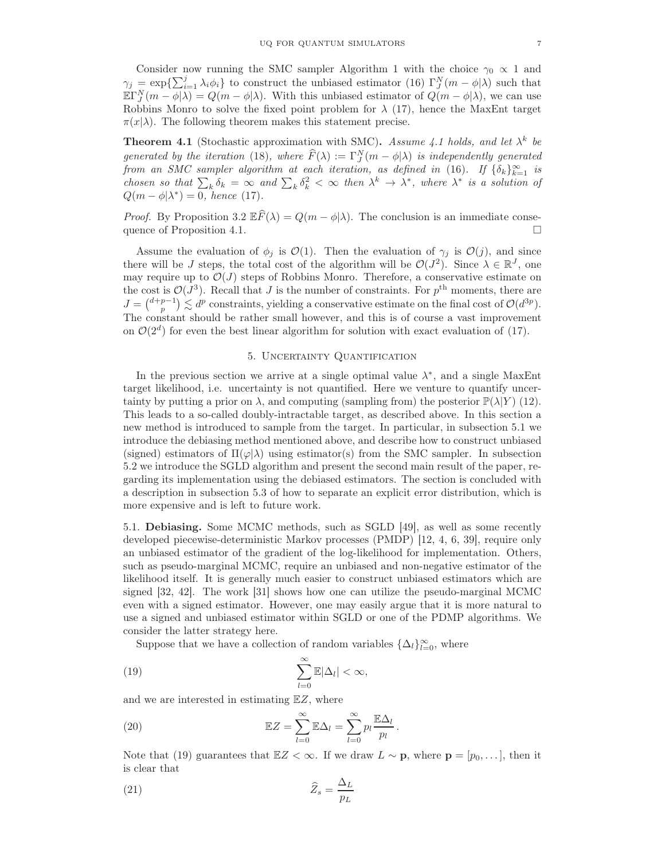Consider now running the SMC sampler Algorithm 1 with the choice  $\gamma_0 \propto 1$  and  $\gamma_j = \exp\left\{\sum_{i=1}^j \lambda_i \phi_i\right\}$  to construct the unbiased estimator (16)  $\Gamma_j^N(m - \phi|\lambda)$  such that  $\mathbb{E}\Gamma_J^N(m-\phi|\lambda) = Q(m-\phi|\lambda)$ . With this unbiased estimator of  $Q(m-\phi|\lambda)$ , we can use Robbins Monro to solve the fixed point problem for  $\lambda$  (17), hence the MaxEnt target  $\pi(x|\lambda)$ . The following theorem makes this statement precise.

**Theorem 4.1** (Stochastic approximation with SMC). Assume 4.1 holds, and let  $\lambda^k$  be generated by the iteration (18), where  $\widehat{F}(\lambda) := \Gamma_J^N(m - \phi | \lambda)$  is independently generated from an SMC sampler algorithm at each iteration, as defined in (16). If  $\{\delta_k\}_{k=1}^{\infty}$  is chosen so that  $\sum_{k} \delta_k = \infty$  and  $\sum_{k} \delta_k^2 < \infty$  then  $\lambda^k \to \lambda^*$ , where  $\lambda^*$  is a solution of  $Q(m - \phi | \lambda^*) = 0$ , hence (17).

*Proof.* By Proposition 3.2  $\mathbb{E}\widehat{F}(\lambda) = Q(m - \phi|\lambda)$ . The conclusion is an immediate consequence of Proposition 4.1. quence of Proposition 4.1.

Assume the evaluation of  $\phi_j$  is  $\mathcal{O}(1)$ . Then the evaluation of  $\gamma_j$  is  $\mathcal{O}(j)$ , and since there will be J steps, the total cost of the algorithm will be  $\mathcal{O}(J^2)$ . Since  $\lambda \in \mathbb{R}^J$ , one may require up to  $\mathcal{O}(J)$  steps of Robbins Monro. Therefore, a conservative estimate on the cost is  $\mathcal{O}(J^3)$ . Recall that J is the number of constraints. For  $p^{\text{th}}$  moments, there are  $J = {d+p-1 \choose p} \lesssim d^p$  constraints, yielding a conservative estimate on the final cost of  $\mathcal{O}(d^{3p})$ . The constant should be rather small however, and this is of course a vast improvement on  $\mathcal{O}(2^d)$  for even the best linear algorithm for solution with exact evaluation of (17).

### 5. Uncertainty Quantification

In the previous section we arrive at a single optimal value  $\lambda^*$ , and a single MaxEnt target likelihood, i.e. uncertainty is not quantified. Here we venture to quantify uncertainty by putting a prior on  $\lambda$ , and computing (sampling from) the posterior  $\mathbb{P}(\lambda|Y)$  (12). This leads to a so-called doubly-intractable target, as described above. In this section a new method is introduced to sample from the target. In particular, in subsection 5.1 we introduce the debiasing method mentioned above, and describe how to construct unbiased (signed) estimators of  $\Pi(\varphi|\lambda)$  using estimator(s) from the SMC sampler. In subsection 5.2 we introduce the SGLD algorithm and present the second main result of the paper, regarding its implementation using the debiased estimators. The section is concluded with a description in subsection 5.3 of how to separate an explicit error distribution, which is more expensive and is left to future work.

5.1. Debiasing. Some MCMC methods, such as SGLD [49], as well as some recently developed piecewise-deterministic Markov processes (PMDP) [12, 4, 6, 39], require only an unbiased estimator of the gradient of the log-likelihood for implementation. Others, such as pseudo-marginal MCMC, require an unbiased and non-negative estimator of the likelihood itself. It is generally much easier to construct unbiased estimators which are signed [32, 42]. The work [31] shows how one can utilize the pseudo-marginal MCMC even with a signed estimator. However, one may easily argue that it is more natural to use a signed and unbiased estimator within SGLD or one of the PDMP algorithms. We consider the latter strategy here.

Suppose that we have a collection of random variables  $\{\Delta_l\}_{l=0}^{\infty}$ , where

(19) 
$$
\sum_{l=0}^{\infty} \mathbb{E} |\Delta_l| < \infty,
$$

and we are interested in estimating  $EZ$ , where

(20) 
$$
\mathbb{E}Z = \sum_{l=0}^{\infty} \mathbb{E}\Delta_l = \sum_{l=0}^{\infty} p_l \frac{\mathbb{E}\Delta_l}{p_l}.
$$

Note that (19) guarantees that  $\mathbb{E}Z < \infty$ . If we draw  $L \sim \mathbf{p}$ , where  $\mathbf{p} = [p_0, \dots]$ , then it is clear that

$$
\widehat{Z}_s = \frac{\Delta_L}{p_L}
$$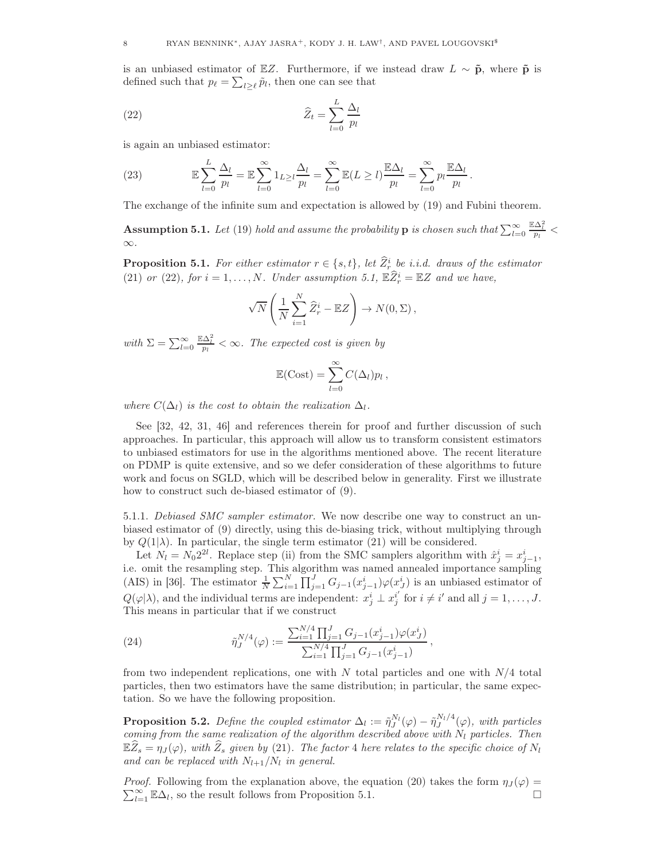is an unbiased estimator of EZ. Furthermore, if we instead draw  $L \sim \tilde{p}$ , where  $\tilde{p}$  is defined such that  $p_{\ell} = \sum_{l \geq \ell} \tilde{p}_l$ , then one can see that

(22) 
$$
\widehat{Z}_t = \sum_{l=0}^L \frac{\Delta_l}{p_l}
$$

is again an unbiased estimator:

(23) 
$$
\mathbb{E}\sum_{l=0}^{L}\frac{\Delta_l}{p_l}=\mathbb{E}\sum_{l=0}^{\infty}\mathbb{1}_{L\geq l}\frac{\Delta_l}{p_l}=\sum_{l=0}^{\infty}\mathbb{E}(L\geq l)\frac{\mathbb{E}\Delta_l}{p_l}=\sum_{l=0}^{\infty}p_l\frac{\mathbb{E}\Delta_l}{p_l}.
$$

The exchange of the infinite sum and expectation is allowed by (19) and Fubini theorem.

**Assumption 5.1.** Let (19) hold and assume the probability **p** is chosen such that  $\sum_{l=0}^{\infty}$  $\frac{\mathbb{E}\Delta_l^2}{p_l}<$ ∞.

**Proposition 5.1.** For either estimator  $r \in \{s,t\}$ , let  $\overline{Z_r^i}$  be i.i.d. draws of the estimator (21) or (22), for  $i = 1, ..., N$ . Under assumption 5.1,  $\mathbb{E} \widehat{Z}_r^i = \mathbb{E} Z$  and we have,

$$
\sqrt{N}\left(\frac{1}{N}\sum_{i=1}^N\widehat{Z}_r^i - \mathbb{E}Z\right) \to N(0,\Sigma),
$$

with  $\Sigma = \sum_{l=0}^{\infty}$  $\frac{\mathbb{E}\Delta_l^2}{p_l} < \infty$ . The expected cost is given by

$$
\mathbb{E}(\text{Cost}) = \sum_{l=0}^{\infty} C(\Delta_l) p_l,
$$

where  $C(\Delta_l)$  is the cost to obtain the realization  $\Delta_l$ .

See [32, 42, 31, 46] and references therein for proof and further discussion of such approaches. In particular, this approach will allow us to transform consistent estimators to unbiased estimators for use in the algorithms mentioned above. The recent literature on PDMP is quite extensive, and so we defer consideration of these algorithms to future work and focus on SGLD, which will be described below in generality. First we illustrate how to construct such de-biased estimator of (9).

5.1.1. Debiased SMC sampler estimator. We now describe one way to construct an unbiased estimator of (9) directly, using this de-biasing trick, without multiplying through by  $Q(1|\lambda)$ . In particular, the single term estimator (21) will be considered.

Let  $N_l = N_0 2^{2l}$ . Replace step (ii) from the SMC samplers algorithm with  $\hat{x}^i_j = x^i_{j-1}$ , i.e. omit the resampling step. This algorithm was named annealed importance sampling (AIS) in [36]. The estimator  $\frac{1}{N} \sum_{i=1}^{N} \prod_{j=1}^{J} G_{j-1}(x_{j-1}^i) \varphi(x_j^i)$  is an unbiased estimator of  $Q(\varphi|\lambda)$ , and the individual terms are independent:  $x_j^i \perp x_j^{i'}$  for  $i \neq i'$  and all  $j = 1, \ldots, J$ . This means in particular that if we construct

(24) 
$$
\tilde{\eta}_J^{N/4}(\varphi) := \frac{\sum_{i=1}^{N/4} \prod_{j=1}^J G_{j-1}(x_{j-1}^i) \varphi(x_j^i)}{\sum_{i=1}^{N/4} \prod_{j=1}^J G_{j-1}(x_{j-1}^i)},
$$

from two independent replications, one with  $N$  total particles and one with  $N/4$  total particles, then two estimators have the same distribution; in particular, the same expectation. So we have the following proposition.

**Proposition 5.2.** Define the coupled estimator  $\Delta_l := \tilde{\eta}_J^{N_l}(\varphi) - \tilde{\eta}_J^{N_l/4}(\varphi)$ , with particles coming from the same realization of the algorithm described above with  $N_l$  particles. Then  $\mathbb{E}Z_s = \eta_J(\varphi)$ , with  $Z_s$  given by (21). The factor 4 here relates to the specific choice of  $N_l$ and can be replaced with  $N_{l+1}/N_l$  in general.

*Proof.* Following from the explanation above, the equation (20) takes the form  $\eta_J(\varphi)$  =  $\sum_{l=1}^{\infty} \mathbb{E}\Delta_l$ , so the result follows from Proposition 5.1.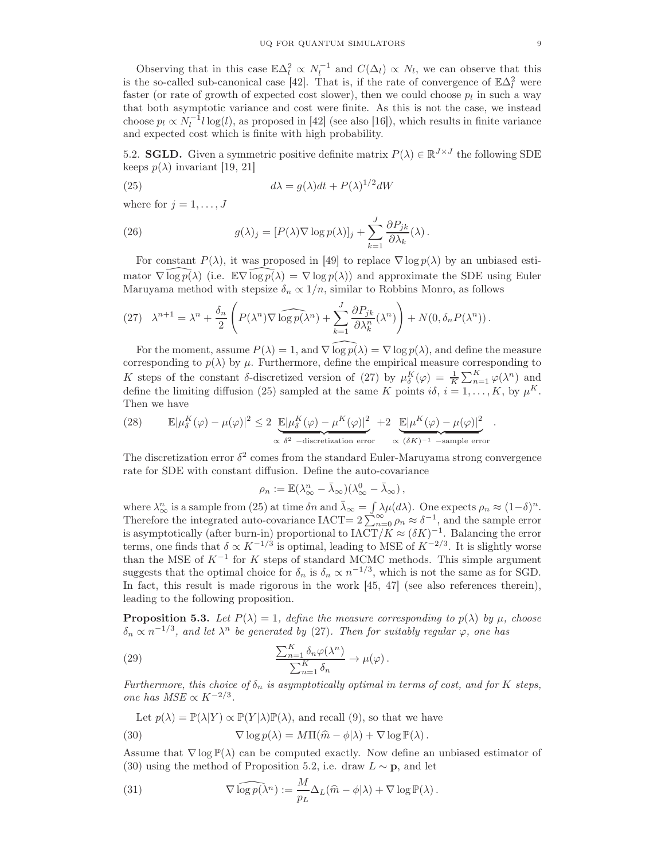Observing that in this case  $\mathbb{E}\Delta_l^2 \propto N_l^{-1}$  and  $C(\Delta_l) \propto N_l$ , we can observe that this is the so-called sub-canonical case [42]. That is, if the rate of convergence of  $\mathbb{E}\Delta_l^2$  were faster (or rate of growth of expected cost slower), then we could choose  $p_l$  in such a way that both asymptotic variance and cost were finite. As this is not the case, we instead choose  $p_l \propto N_l^{-1} l \log(l)$ , as proposed in [42] (see also [16]), which results in finite variance and expected cost which is finite with high probability.

5.2. **SGLD.** Given a symmetric positive definite matrix  $P(\lambda) \in \mathbb{R}^{J \times J}$  the following SDE keeps  $p(\lambda)$  invariant [19, 21]

(25) 
$$
d\lambda = g(\lambda)dt + P(\lambda)^{1/2}dW
$$

where for  $j = 1, \ldots, J$ 

(26) 
$$
g(\lambda)_j = [P(\lambda)\nabla \log p(\lambda)]_j + \sum_{k=1}^J \frac{\partial P_{jk}}{\partial \lambda_k}(\lambda).
$$

For constant  $P(\lambda)$ , it was proposed in [49] to replace  $\nabla \log p(\lambda)$  by an unbiased estimator  $\nabla \log p(\lambda)$  (i.e.  $\mathbb{E} \nabla \log p(\lambda) = \nabla \log p(\lambda)$ ) and approximate the SDE using Euler Maruyama method with stepsize  $\delta_n \propto 1/n$ , similar to Robbins Monro, as follows

(27) 
$$
\lambda^{n+1} = \lambda^n + \frac{\delta_n}{2} \left( P(\lambda^n) \nabla \widehat{\log p(\lambda^n)} + \sum_{k=1}^J \frac{\partial P_{jk}}{\partial \lambda_k^n} (\lambda^n) \right) + N(0, \delta_n P(\lambda^n)).
$$

For the moment, assume  $P(\lambda) = 1$ , and  $\nabla \log p(\lambda) = \nabla \log p(\lambda)$ , and define the measure corresponding to  $p(\lambda)$  by  $\mu$ . Furthermore, define the empirical measure corresponding to K steps of the constant δ-discretized version of (27) by  $\mu_{\delta}^{K}(\varphi) = \frac{1}{K} \sum_{n=1}^{K} \varphi(\lambda^{n})$  and define the limiting diffusion (25) sampled at the same K points  $i\delta$ ,  $i = 1, \ldots, K$ , by  $\mu^K$ . Then we have

(28) 
$$
\mathbb{E}|\mu_{\delta}^{K}(\varphi)-\mu(\varphi)|^{2} \leq 2 \underbrace{\mathbb{E}|\mu_{\delta}^{K}(\varphi)-\mu^{K}(\varphi)|^{2}}_{\propto \delta^{2} -\text{discretization error}} + 2 \underbrace{\mathbb{E}|\mu^{K}(\varphi)-\mu(\varphi)|^{2}}_{\propto (\delta K)^{-1} -\text{sample error}}.
$$

The discretization error  $\delta^2$  comes from the standard Euler-Maruyama strong convergence rate for SDE with constant diffusion. Define the auto-covariance

$$
\rho_n := \mathbb{E}(\lambda_\infty^n - \bar{\lambda}_\infty)(\lambda_\infty^0 - \bar{\lambda}_\infty),
$$

where  $\lambda_{\infty}^n$  is a sample from (25) at time  $\delta n$  and  $\bar{\lambda}_{\infty} = \int \lambda \mu(d\lambda)$ . One expects  $\rho_n \approx (1-\delta)^n$ . Therefore the integrated auto-covariance IACT=  $2\sum_{n=0}^{\infty} \rho_n \approx \delta^{-1}$ , and the sample error is asymptotically (after burn-in) proportional to  $\text{IACT}/K \approx (\delta K)^{-1}$ . Balancing the error terms, one finds that  $\delta \propto K^{-1/3}$  is optimal, leading to MSE of  $K^{-2/3}$ . It is slightly worse than the MSE of  $K^{-1}$  for K steps of standard MCMC methods. This simple argument suggests that the optimal choice for  $\delta_n$  is  $\delta_n \propto n^{-1/3}$ , which is not the same as for SGD. In fact, this result is made rigorous in the work [45, 47] (see also references therein), leading to the following proposition.

**Proposition 5.3.** Let  $P(\lambda) = 1$ , define the measure corresponding to  $p(\lambda)$  by  $\mu$ , choose  $\delta_n \propto n^{-1/3}$ , and let  $\lambda^n$  be generated by (27). Then for suitably regular  $\varphi$ , one has

(29) 
$$
\frac{\sum_{n=1}^{K} \delta_n \varphi(\lambda^n)}{\sum_{n=1}^{K} \delta_n} \to \mu(\varphi).
$$

Furthermore, this choice of  $\delta_n$  is asymptotically optimal in terms of cost, and for K steps, one has  $MSE \propto K^{-2/3}$ .

Let 
$$
p(\lambda) = \mathbb{P}(\lambda|Y) \propto \mathbb{P}(Y|\lambda)\mathbb{P}(\lambda)
$$
, and recall (9), so that we have  
(30) 
$$
\nabla \log p(\lambda) = M\Pi(\widehat{m} - \phi|\lambda) + \nabla \log \mathbb{P}(\lambda).
$$

Assume that  $\nabla$  log  $\mathbb{P}(\lambda)$  can be computed exactly. Now define an unbiased estimator of (30) using the method of Proposition 5.2, i.e. draw  $L \sim \mathbf{p}$ , and let

(31) 
$$
\nabla \widehat{\log p(\lambda^n)} := \frac{M}{p_L} \Delta_L(\widehat{m} - \phi | \lambda) + \nabla \log \mathbb{P}(\lambda).
$$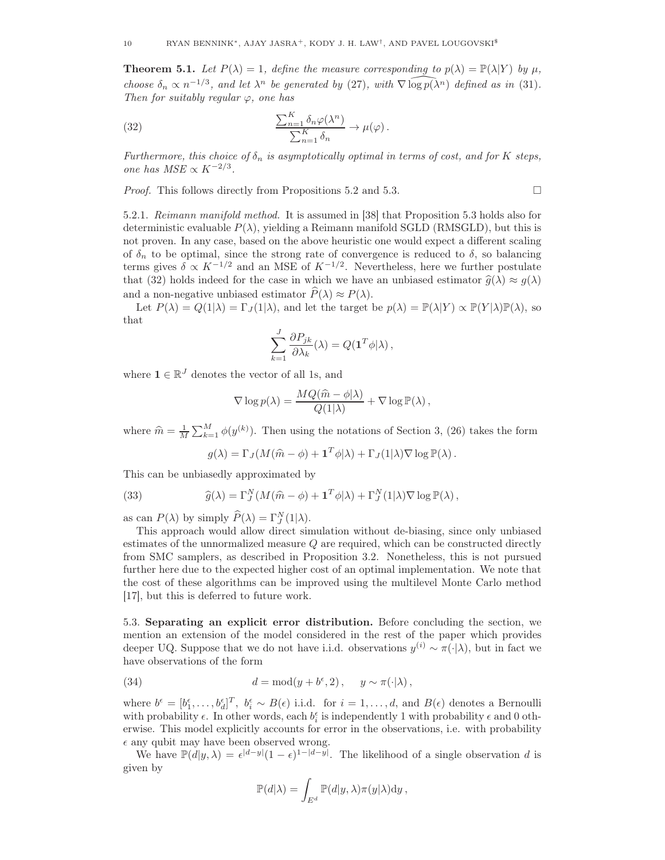**Theorem 5.1.** Let  $P(\lambda) = 1$ , define the measure corresponding to  $p(\lambda) = \mathbb{P}(\lambda|Y)$  by  $\mu$ , choose  $\delta_n \propto n^{-1/3}$ , and let  $\lambda^n$  be generated by (27), with  $\nabla \widehat{\log p(\lambda^n)}$  defined as in (31). Then for suitably regular  $\varphi$ , one has

(32) 
$$
\frac{\sum_{n=1}^{K} \delta_n \varphi(\lambda^n)}{\sum_{n=1}^{K} \delta_n} \to \mu(\varphi).
$$

Furthermore, this choice of  $\delta_n$  is asymptotically optimal in terms of cost, and for K steps, one has  $MSE \propto K^{-2/3}$ .

Proof. This follows directly from Propositions 5.2 and 5.3.

$$
\Box
$$

5.2.1. Reimann manifold method. It is assumed in [38] that Proposition 5.3 holds also for deterministic evaluable  $P(\lambda)$ , yielding a Reimann manifold SGLD (RMSGLD), but this is not proven. In any case, based on the above heuristic one would expect a different scaling of  $\delta_n$  to be optimal, since the strong rate of convergence is reduced to  $\delta$ , so balancing terms gives  $\delta \propto K^{-1/2}$  and an MSE of  $K^{-1/2}$ . Nevertheless, here we further postulate that (32) holds indeed for the case in which we have an unbiased estimator  $\hat{q}(\lambda) \approx q(\lambda)$ and a non-negative unbiased estimator  $\widehat{P}(\lambda) \approx P(\lambda)$ .

Let  $P(\lambda) = Q(1|\lambda) = \Gamma_J(1|\lambda)$ , and let the target be  $p(\lambda) = \mathbb{P}(\lambda|Y) \propto \mathbb{P}(Y|\lambda)\mathbb{P}(\lambda)$ , so that

$$
\sum_{k=1}^{J} \frac{\partial P_{jk}}{\partial \lambda_k}(\lambda) = Q(\mathbf{1}^T \phi | \lambda),
$$

where  $\mathbf{1} \in \mathbb{R}^J$  denotes the vector of all 1s, and

$$
\nabla \log p(\lambda) = \frac{MQ(\widehat{m} - \phi | \lambda)}{Q(1 | \lambda)} + \nabla \log \mathbb{P}(\lambda),
$$

where  $\hat{m} = \frac{1}{M} \sum_{k=1}^{M} \phi(y^{(k)})$ . Then using the notations of Section 3, (26) takes the form

$$
g(\lambda) = \Gamma_J(M(\widehat{m} - \phi) + \mathbf{1}^T \phi | \lambda) + \Gamma_J(1 | \lambda) \nabla \log \mathbb{P}(\lambda).
$$

This can be unbiasedly approximated by

(33) 
$$
\widehat{g}(\lambda) = \Gamma_J^N(M(\widehat{m} - \phi) + \mathbf{1}^T \phi|\lambda) + \Gamma_J^N(1|\lambda) \nabla \log \mathbb{P}(\lambda),
$$

as can  $P(\lambda)$  by simply  $\widehat{P}(\lambda) = \Gamma_J^N(1|\lambda)$ .

This approach would allow direct simulation without de-biasing, since only unbiased estimates of the unnormalized measure Q are required, which can be constructed directly from SMC samplers, as described in Proposition 3.2. Nonetheless, this is not pursued further here due to the expected higher cost of an optimal implementation. We note that the cost of these algorithms can be improved using the multilevel Monte Carlo method [17], but this is deferred to future work.

5.3. Separating an explicit error distribution. Before concluding the section, we mention an extension of the model considered in the rest of the paper which provides deeper UQ. Suppose that we do not have i.i.d. observations  $y^{(i)} \sim \pi(\cdot | \lambda)$ , but in fact we have observations of the form

(34) 
$$
d = \text{mod}(y + b^{\epsilon}, 2), \quad y \sim \pi(\cdot | \lambda),
$$

where  $b^{\epsilon} = [b_1^{\epsilon}, \ldots, b_d^{\epsilon}]^T$ ,  $b_i^{\epsilon} \sim B(\epsilon)$  i.i.d. for  $i = 1, \ldots, d$ , and  $B(\epsilon)$  denotes a Bernoulli with probability  $\epsilon$ . In other words, each  $b_i^{\epsilon}$  is independently 1 with probability  $\epsilon$  and 0 otherwise. This model explicitly accounts for error in the observations, i.e. with probability  $\epsilon$  any qubit may have been observed wrong.

We have  $\mathbb{P}(d|y,\lambda) = \epsilon^{|d-y|}(1-\epsilon)^{1-|d-y|}$ . The likelihood of a single observation d is given by

$$
\mathbb{P}(d|\lambda) = \int_{E^d} \mathbb{P}(d|y,\lambda) \pi(y|\lambda) dy,
$$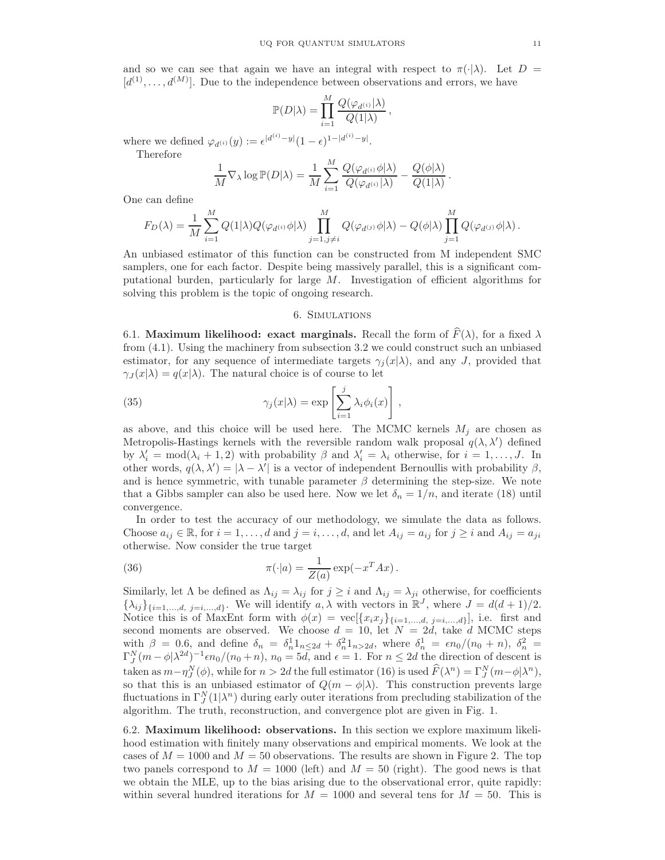and so we can see that again we have an integral with respect to  $\pi(\cdot|\lambda)$ . Let  $D =$  $[d^{(1)},..., d^{(M)}]$ . Due to the independence between observations and errors, we have

$$
\mathbb{P}(D|\lambda) = \prod_{i=1}^{M} \frac{Q(\varphi_{d^{(i)}}|\lambda)}{Q(1|\lambda)},
$$

where we defined  $\varphi_{d^{(i)}}(y) := \epsilon^{|d^{(i)}-y|}(1-\epsilon)^{1-|d^{(i)}-y|}.$ 

Therefore

$$
\frac{1}{M}\nabla_{\lambda}\log\mathbb{P}(D|\lambda) = \frac{1}{M}\sum_{i=1}^{M}\frac{Q(\varphi_{d^{(i)}}\phi|\lambda)}{Q(\varphi_{d^{(i)}}|\lambda)} - \frac{Q(\phi|\lambda)}{Q(1|\lambda)}.
$$

One can define

$$
F_D(\lambda) = \frac{1}{M} \sum_{i=1}^M Q(1|\lambda) Q(\varphi_{d^{(i)}} \phi | \lambda) \prod_{j=1, j \neq i}^M Q(\varphi_{d^{(j)}} \phi | \lambda) - Q(\phi | \lambda) \prod_{j=1}^M Q(\varphi_{d^{(j)}} \phi | \lambda).
$$

An unbiased estimator of this function can be constructed from M independent SMC samplers, one for each factor. Despite being massively parallel, this is a significant computational burden, particularly for large M. Investigation of efficient algorithms for solving this problem is the topic of ongoing research.

### 6. Simulations

6.1. Maximum likelihood: exact marginals. Recall the form of  $\widehat{F}(\lambda)$ , for a fixed  $\lambda$ from (4.1). Using the machinery from subsection 3.2 we could construct such an unbiased estimator, for any sequence of intermediate targets  $\gamma_i(x|\lambda)$ , and any J, provided that  $\gamma_J(x|\lambda) = q(x|\lambda)$ . The natural choice is of course to let

(35) 
$$
\gamma_j(x|\lambda) = \exp\left[\sum_{i=1}^j \lambda_i \phi_i(x)\right],
$$

as above, and this choice will be used here. The MCMC kernels  $M_i$  are chosen as Metropolis-Hastings kernels with the reversible random walk proposal  $q(\lambda, \lambda')$  defined by  $\lambda'_i = \text{mod}(\lambda_i + 1, 2)$  with probability  $\beta$  and  $\lambda'_i = \lambda_i$  otherwise, for  $i = 1, ..., J$ . In other words,  $q(\lambda, \lambda') = |\lambda - \lambda'|$  is a vector of independent Bernoullis with probability  $\beta$ , and is hence symmetric, with tunable parameter  $\beta$  determining the step-size. We note that a Gibbs sampler can also be used here. Now we let  $\delta_n = 1/n$ , and iterate (18) until convergence.

In order to test the accuracy of our methodology, we simulate the data as follows. Choose  $a_{ij} \in \mathbb{R}$ , for  $i = 1, \ldots, d$  and  $j = i, \ldots, d$ , and let  $A_{ij} = a_{ij}$  for  $j \ge i$  and  $A_{ij} = a_{ji}$ otherwise. Now consider the true target

(36) 
$$
\pi(\cdot|a) = \frac{1}{Z(a)} \exp(-x^T Ax).
$$

Similarly, let  $\Lambda$  be defined as  $\Lambda_{ij} = \lambda_{ij}$  for  $j \geq i$  and  $\Lambda_{ij} = \lambda_{ji}$  otherwise, for coefficients  $\{\lambda_{ij}\}_{\{i=1,\dots,d, j=i,\dots,d\}}$ . We will identify  $a, \lambda$  with vectors in  $\mathbb{R}^J$ , where  $J = d(d+1)/2$ . Notice this is of MaxEnt form with  $\phi(x) = \text{vec}[\{x_i x_j\}_{i=1,\dots,d, j=i,\dots,d}]$ , i.e. first and second moments are observed. We choose  $d = 10$ , let  $N = 2d$ , take d MCMC steps with  $\beta = 0.6$ , and define  $\delta_n = \delta_n^1 1_{n \leq 2d} + \delta_n^2 1_{n > 2d}$ , where  $\delta_n^1 = \epsilon n_0/(n_0 + n)$ ,  $\delta_n^2 =$  $\Gamma_J^N(m-\phi|\lambda^{2d})^{-1}\epsilon n_0/(n_0+n), n_0=5d$ , and  $\epsilon=1$ . For  $n\leq 2d$  the direction of descent is taken as  $m - \eta^N_J(\phi)$ , while for  $n > 2d$  the full estimator (16) is used  $\hat{F}(\lambda^n) = \Gamma^N_J(m - \phi | \lambda^n)$ , so that this is an unbiased estimator of  $Q(m - \phi|\lambda)$ . This construction prevents large fluctuations in  $\Gamma_J^N(1|\lambda^n)$  during early outer iterations from precluding stabilization of the algorithm. The truth, reconstruction, and convergence plot are given in Fig. 1.

6.2. Maximum likelihood: observations. In this section we explore maximum likelihood estimation with finitely many observations and empirical moments. We look at the cases of  $M = 1000$  and  $M = 50$  observations. The results are shown in Figure 2. The top two panels correspond to  $M = 1000$  (left) and  $M = 50$  (right). The good news is that we obtain the MLE, up to the bias arising due to the observational error, quite rapidly: within several hundred iterations for  $M = 1000$  and several tens for  $M = 50$ . This is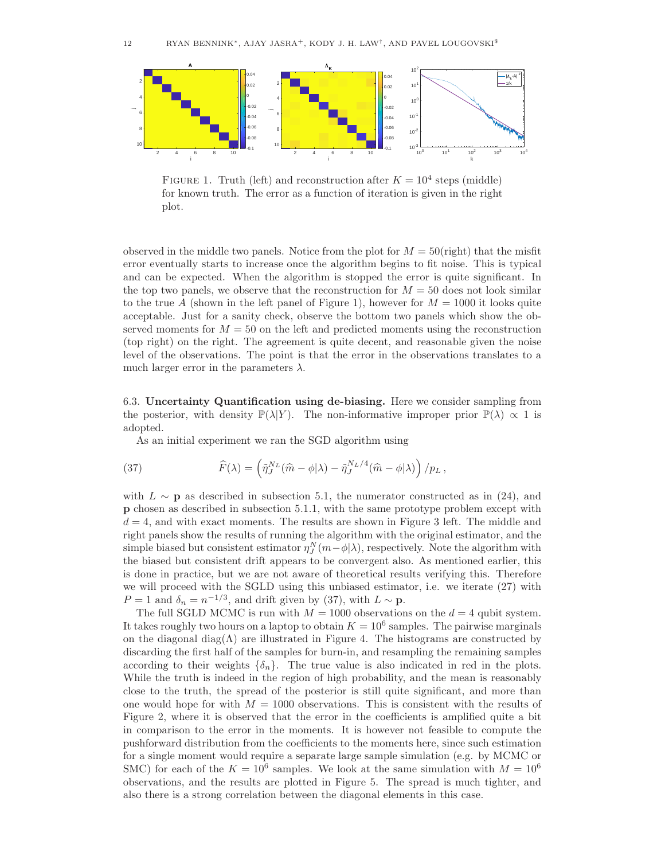

FIGURE 1. Truth (left) and reconstruction after  $K = 10^4$  steps (middle) for known truth. The error as a function of iteration is given in the right plot.

observed in the middle two panels. Notice from the plot for  $M = 50$ (right) that the misfit error eventually starts to increase once the algorithm begins to fit noise. This is typical and can be expected. When the algorithm is stopped the error is quite significant. In the top two panels, we observe that the reconstruction for  $M = 50$  does not look similar to the true A (shown in the left panel of Figure 1), however for  $M = 1000$  it looks quite acceptable. Just for a sanity check, observe the bottom two panels which show the observed moments for  $M = 50$  on the left and predicted moments using the reconstruction (top right) on the right. The agreement is quite decent, and reasonable given the noise level of the observations. The point is that the error in the observations translates to a much larger error in the parameters  $\lambda$ .

6.3. Uncertainty Quantification using de-biasing. Here we consider sampling from the posterior, with density  $\mathbb{P}(\lambda|Y)$ . The non-informative improper prior  $\mathbb{P}(\lambda) \propto 1$  is adopted.

As an initial experiment we ran the SGD algorithm using

(37) 
$$
\widehat{F}(\lambda) = \left(\widetilde{\eta}_{J}^{N_L}(\widehat{m} - \phi | \lambda) - \widetilde{\eta}_{J}^{N_L/4}(\widehat{m} - \phi | \lambda)\right) / p_L,
$$

with  $L \sim \mathbf{p}$  as described in subsection 5.1, the numerator constructed as in (24), and p chosen as described in subsection 5.1.1, with the same prototype problem except with  $d = 4$ , and with exact moments. The results are shown in Figure 3 left. The middle and right panels show the results of running the algorithm with the original estimator, and the simple biased but consistent estimator  $\eta_J^N(m-\phi|\lambda)$ , respectively. Note the algorithm with the biased but consistent drift appears to be convergent also. As mentioned earlier, this is done in practice, but we are not aware of theoretical results verifying this. Therefore we will proceed with the SGLD using this unbiased estimator, i.e. we iterate (27) with  $P = 1$  and  $\delta_n = n^{-1/3}$ , and drift given by (37), with  $L \sim \mathbf{p}$ .

The full SGLD MCMC is run with  $M = 1000$  observations on the  $d = 4$  qubit system. It takes roughly two hours on a laptop to obtain  $K = 10^6$  samples. The pairwise marginals on the diagonal diag( $\Lambda$ ) are illustrated in Figure 4. The histograms are constructed by discarding the first half of the samples for burn-in, and resampling the remaining samples according to their weights  $\{\delta_n\}$ . The true value is also indicated in red in the plots. While the truth is indeed in the region of high probability, and the mean is reasonably close to the truth, the spread of the posterior is still quite significant, and more than one would hope for with  $M = 1000$  observations. This is consistent with the results of Figure 2, where it is observed that the error in the coefficients is amplified quite a bit in comparison to the error in the moments. It is however not feasible to compute the pushforward distribution from the coefficients to the moments here, since such estimation for a single moment would require a separate large sample simulation (e.g. by MCMC or SMC) for each of the  $K = 10^6$  samples. We look at the same simulation with  $M = 10^6$ observations, and the results are plotted in Figure 5. The spread is much tighter, and also there is a strong correlation between the diagonal elements in this case.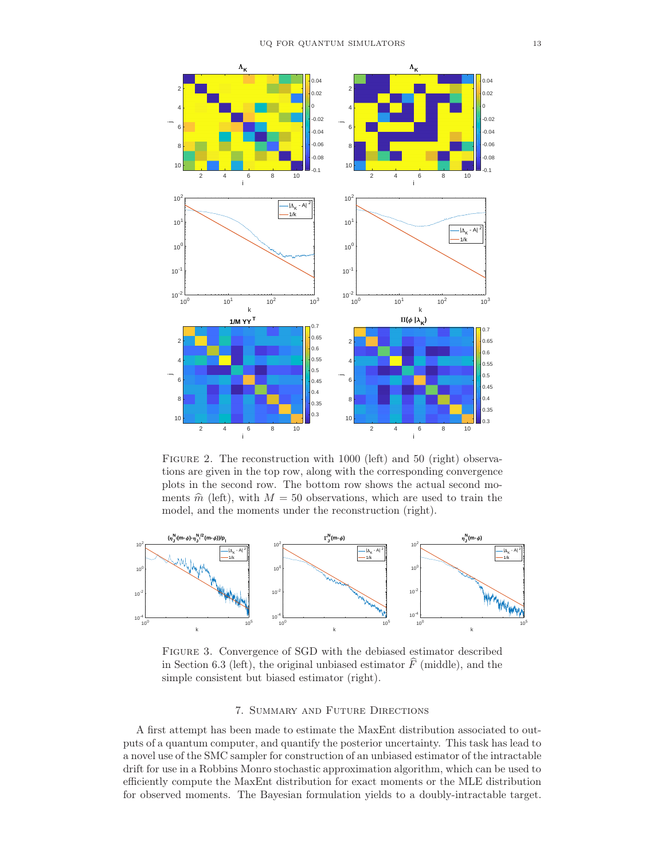

FIGURE 2. The reconstruction with 1000 (left) and 50 (right) observations are given in the top row, along with the corresponding convergence plots in the second row. The bottom row shows the actual second moments  $\hat{m}$  (left), with  $M = 50$  observations, which are used to train the model, and the moments under the reconstruction (right).



Figure 3. Convergence of SGD with the debiased estimator described in Section 6.3 (left), the original unbiased estimator  $\hat{F}$  (middle), and the simple consistent but biased estimator (right).

### 7. Summary and Future Directions

A first attempt has been made to estimate the MaxEnt distribution associated to outputs of a quantum computer, and quantify the posterior uncertainty. This task has lead to a novel use of the SMC sampler for construction of an unbiased estimator of the intractable drift for use in a Robbins Monro stochastic approximation algorithm, which can be used to efficiently compute the MaxEnt distribution for exact moments or the MLE distribution for observed moments. The Bayesian formulation yields to a doubly-intractable target.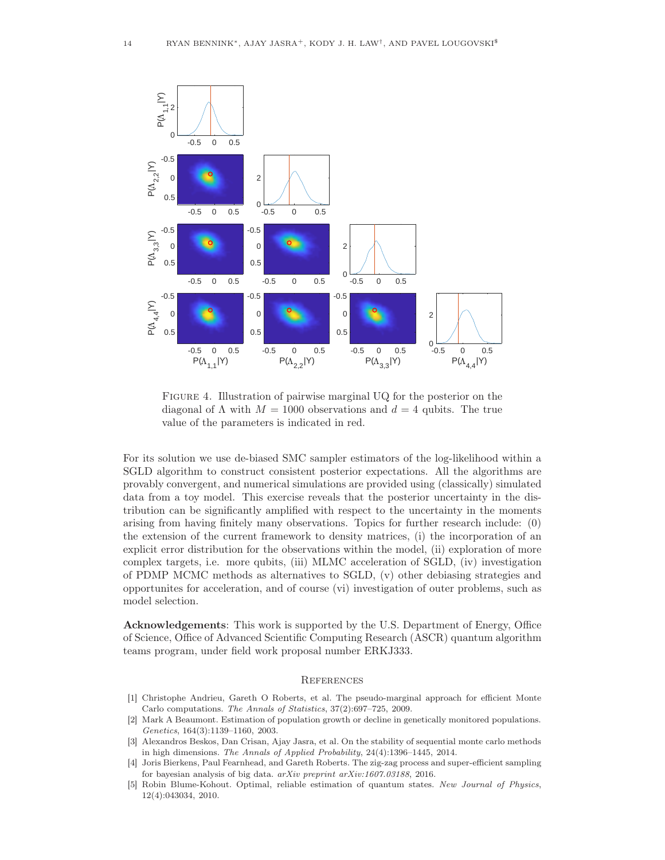

FIGURE 4. Illustration of pairwise marginal UQ for the posterior on the diagonal of  $\Lambda$  with  $M = 1000$  observations and  $d = 4$  qubits. The true value of the parameters is indicated in red.

For its solution we use de-biased SMC sampler estimators of the log-likelihood within a SGLD algorithm to construct consistent posterior expectations. All the algorithms are provably convergent, and numerical simulations are provided using (classically) simulated data from a toy model. This exercise reveals that the posterior uncertainty in the distribution can be significantly amplified with respect to the uncertainty in the moments arising from having finitely many observations. Topics for further research include: (0) the extension of the current framework to density matrices, (i) the incorporation of an explicit error distribution for the observations within the model, (ii) exploration of more complex targets, i.e. more qubits, (iii) MLMC acceleration of SGLD, (iv) investigation of PDMP MCMC methods as alternatives to SGLD, (v) other debiasing strategies and opportunites for acceleration, and of course (vi) investigation of outer problems, such as model selection.

Acknowledgements: This work is supported by the U.S. Department of Energy, Office of Science, Office of Advanced Scientific Computing Research (ASCR) quantum algorithm teams program, under field work proposal number ERKJ333.

#### **REFERENCES**

- [1] Christophe Andrieu, Gareth O Roberts, et al. The pseudo-marginal approach for efficient Monte Carlo computations. *The Annals of Statistics*, 37(2):697–725, 2009.
- [2] Mark A Beaumont. Estimation of population growth or decline in genetically monitored populations. *Genetics*, 164(3):1139–1160, 2003.
- [3] Alexandros Beskos, Dan Crisan, Ajay Jasra, et al. On the stability of sequential monte carlo methods in high dimensions. *The Annals of Applied Probability*, 24(4):1396–1445, 2014.
- [4] Joris Bierkens, Paul Fearnhead, and Gareth Roberts. The zig-zag process and super-efficient sampling for bayesian analysis of big data. *arXiv preprint arXiv:1607.03188*, 2016.
- [5] Robin Blume-Kohout. Optimal, reliable estimation of quantum states. *New Journal of Physics*, 12(4):043034, 2010.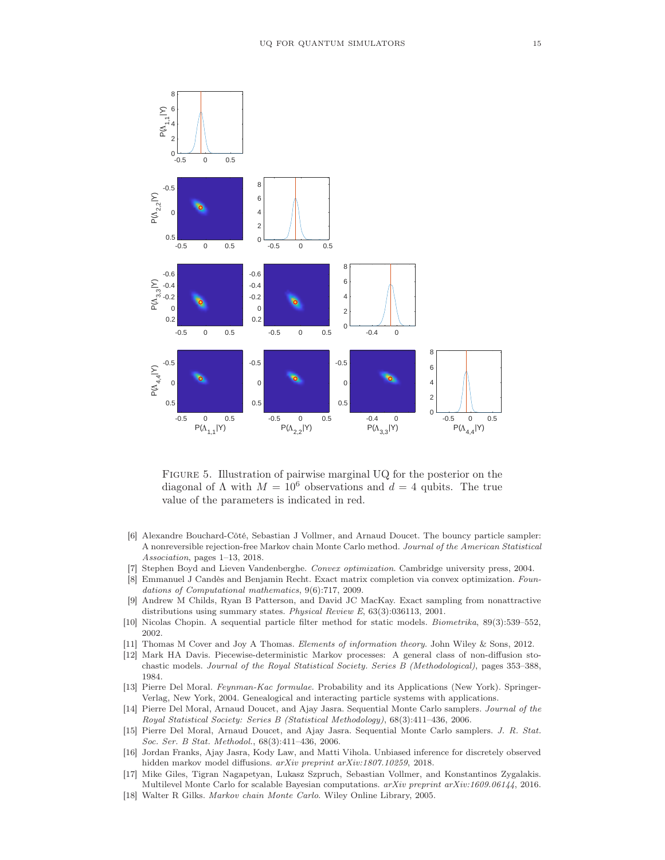

Figure 5. Illustration of pairwise marginal UQ for the posterior on the diagonal of  $\Lambda$  with  $M = 10^6$  observations and  $d = 4$  qubits. The true value of the parameters is indicated in red.

- [6] Alexandre Bouchard-Côté, Sebastian J Vollmer, and Arnaud Doucet. The bouncy particle sampler: A nonreversible rejection-free Markov chain Monte Carlo method. *Journal of the American Statistical Association*, pages 1–13, 2018.
- [7] Stephen Boyd and Lieven Vandenberghe. *Convex optimization*. Cambridge university press, 2004.
- [8] Emmanuel J Candès and Benjamin Recht. Exact matrix completion via convex optimization. *Foundations of Computational mathematics*, 9(6):717, 2009.
- [9] Andrew M Childs, Ryan B Patterson, and David JC MacKay. Exact sampling from nonattractive distributions using summary states. *Physical Review E*, 63(3):036113, 2001.
- [10] Nicolas Chopin. A sequential particle filter method for static models. *Biometrika*, 89(3):539–552, 2002.
- [11] Thomas M Cover and Joy A Thomas. *Elements of information theory*. John Wiley & Sons, 2012.
- [12] Mark HA Davis. Piecewise-deterministic Markov processes: A general class of non-diffusion stochastic models. *Journal of the Royal Statistical Society. Series B (Methodological)*, pages 353–388, 1984.
- [13] Pierre Del Moral. *Feynman-Kac formulae*. Probability and its Applications (New York). Springer-Verlag, New York, 2004. Genealogical and interacting particle systems with applications.
- [14] Pierre Del Moral, Arnaud Doucet, and Ajay Jasra. Sequential Monte Carlo samplers. *Journal of the Royal Statistical Society: Series B (Statistical Methodology)*, 68(3):411–436, 2006.
- [15] Pierre Del Moral, Arnaud Doucet, and Ajay Jasra. Sequential Monte Carlo samplers. *J. R. Stat. Soc. Ser. B Stat. Methodol.*, 68(3):411–436, 2006.
- [16] Jordan Franks, Ajay Jasra, Kody Law, and Matti Vihola. Unbiased inference for discretely observed hidden markov model diffusions. *arXiv preprint arXiv:1807.10259*, 2018.
- [17] Mike Giles, Tigran Nagapetyan, Lukasz Szpruch, Sebastian Vollmer, and Konstantinos Zygalakis. Multilevel Monte Carlo for scalable Bayesian computations. *arXiv preprint arXiv:1609.06144*, 2016.
- [18] Walter R Gilks. *Markov chain Monte Carlo*. Wiley Online Library, 2005.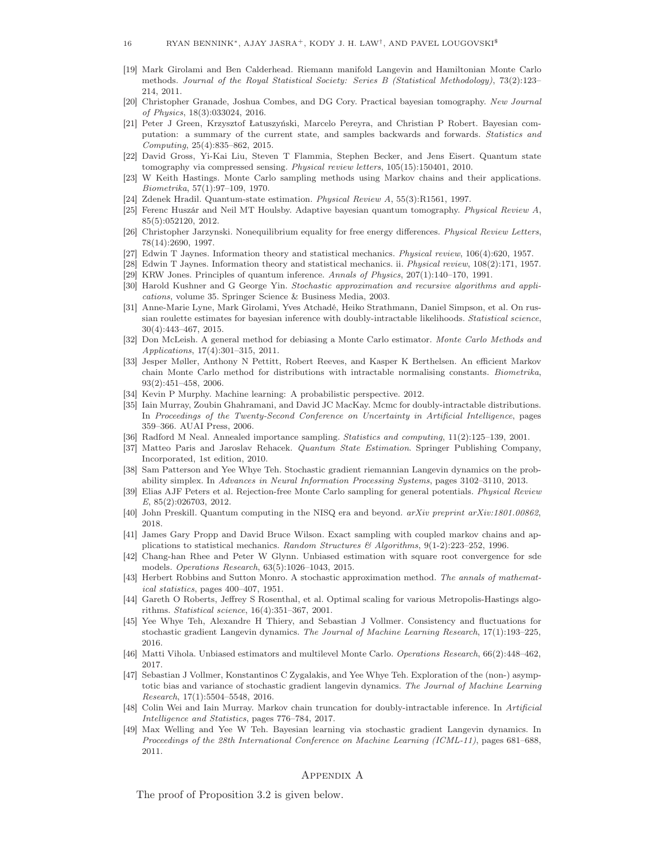- [19] Mark Girolami and Ben Calderhead. Riemann manifold Langevin and Hamiltonian Monte Carlo methods. *Journal of the Royal Statistical Society: Series B (Statistical Methodology)*, 73(2):123– 214, 2011.
- [20] Christopher Granade, Joshua Combes, and DG Cory. Practical bayesian tomography. *New Journal of Physics*, 18(3):033024, 2016.
- [21] Peter J Green, Krzysztof Łatuszyński, Marcelo Pereyra, and Christian P Robert. Bayesian computation: a summary of the current state, and samples backwards and forwards. *Statistics and Computing*, 25(4):835–862, 2015.
- [22] David Gross, Yi-Kai Liu, Steven T Flammia, Stephen Becker, and Jens Eisert. Quantum state tomography via compressed sensing. *Physical review letters*, 105(15):150401, 2010.
- W Keith Hastings. Monte Carlo sampling methods using Markov chains and their applications. *Biometrika*, 57(1):97–109, 1970.
- [24] Zdenek Hradil. Quantum-state estimation. *Physical Review A*, 55(3):R1561, 1997.
- [25] Ferenc Huszár and Neil MT Houlsby. Adaptive bayesian quantum tomography. *Physical Review A*, 85(5):052120, 2012.
- [26] Christopher Jarzynski. Nonequilibrium equality for free energy differences. *Physical Review Letters*, 78(14):2690, 1997.
- [27] Edwin T Jaynes. Information theory and statistical mechanics. *Physical review*, 106(4):620, 1957.
- [28] Edwin T Jaynes. Information theory and statistical mechanics. ii. *Physical review*, 108(2):171, 1957.
- [29] KRW Jones. Principles of quantum inference. *Annals of Physics*, 207(1):140–170, 1991.
- [30] Harold Kushner and G George Yin. *Stochastic approximation and recursive algorithms and applications*, volume 35. Springer Science & Business Media, 2003.
- [31] Anne-Marie Lyne, Mark Girolami, Yves Atchadé, Heiko Strathmann, Daniel Simpson, et al. On russian roulette estimates for bayesian inference with doubly-intractable likelihoods. *Statistical science*, 30(4):443–467, 2015.
- [32] Don McLeish. A general method for debiasing a Monte Carlo estimator. *Monte Carlo Methods and Applications*, 17(4):301–315, 2011.
- [33] Jesper Møller, Anthony N Pettitt, Robert Reeves, and Kasper K Berthelsen. An efficient Markov chain Monte Carlo method for distributions with intractable normalising constants. *Biometrika*, 93(2):451–458, 2006.
- [34] Kevin P Murphy. Machine learning: A probabilistic perspective. 2012.
- [35] Iain Murray, Zoubin Ghahramani, and David JC MacKay. Mcmc for doubly-intractable distributions. In *Proceedings of the Twenty-Second Conference on Uncertainty in Artificial Intelligence*, pages 359–366. AUAI Press, 2006.
- [36] Radford M Neal. Annealed importance sampling. *Statistics and computing*, 11(2):125–139, 2001.
- [37] Matteo Paris and Jaroslav Rehacek. *Quantum State Estimation*. Springer Publishing Company, Incorporated, 1st edition, 2010.
- [38] Sam Patterson and Yee Whye Teh. Stochastic gradient riemannian Langevin dynamics on the probability simplex. In *Advances in Neural Information Processing Systems*, pages 3102–3110, 2013.
- [39] Elias AJF Peters et al. Rejection-free Monte Carlo sampling for general potentials. *Physical Review E*, 85(2):026703, 2012.
- [40] John Preskill. Quantum computing in the NISQ era and beyond. *arXiv preprint arXiv:1801.00862*, 2018.
- [41] James Gary Propp and David Bruce Wilson. Exact sampling with coupled markov chains and applications to statistical mechanics. *Random Structures & Algorithms*, 9(1-2):223–252, 1996.
- [42] Chang-han Rhee and Peter W Glynn. Unbiased estimation with square root convergence for sde models. *Operations Research*, 63(5):1026–1043, 2015.
- [43] Herbert Robbins and Sutton Monro. A stochastic approximation method. *The annals of mathematical statistics*, pages 400–407, 1951.
- [44] Gareth O Roberts, Jeffrey S Rosenthal, et al. Optimal scaling for various Metropolis-Hastings algorithms. *Statistical science*, 16(4):351–367, 2001.
- [45] Yee Whye Teh, Alexandre H Thiery, and Sebastian J Vollmer. Consistency and fluctuations for stochastic gradient Langevin dynamics. *The Journal of Machine Learning Research*, 17(1):193–225, 2016.
- [46] Matti Vihola. Unbiased estimators and multilevel Monte Carlo. *Operations Research*, 66(2):448–462, 2017.
- [47] Sebastian J Vollmer, Konstantinos C Zygalakis, and Yee Whye Teh. Exploration of the (non-) asymptotic bias and variance of stochastic gradient langevin dynamics. *The Journal of Machine Learning Research*, 17(1):5504–5548, 2016.
- [48] Colin Wei and Iain Murray. Markov chain truncation for doubly-intractable inference. In *Artificial Intelligence and Statistics*, pages 776–784, 2017.
- [49] Max Welling and Yee W Teh. Bayesian learning via stochastic gradient Langevin dynamics. In *Proceedings of the 28th International Conference on Machine Learning (ICML-11)*, pages 681–688, 2011.

#### Appendix A

The proof of Proposition 3.2 is given below.